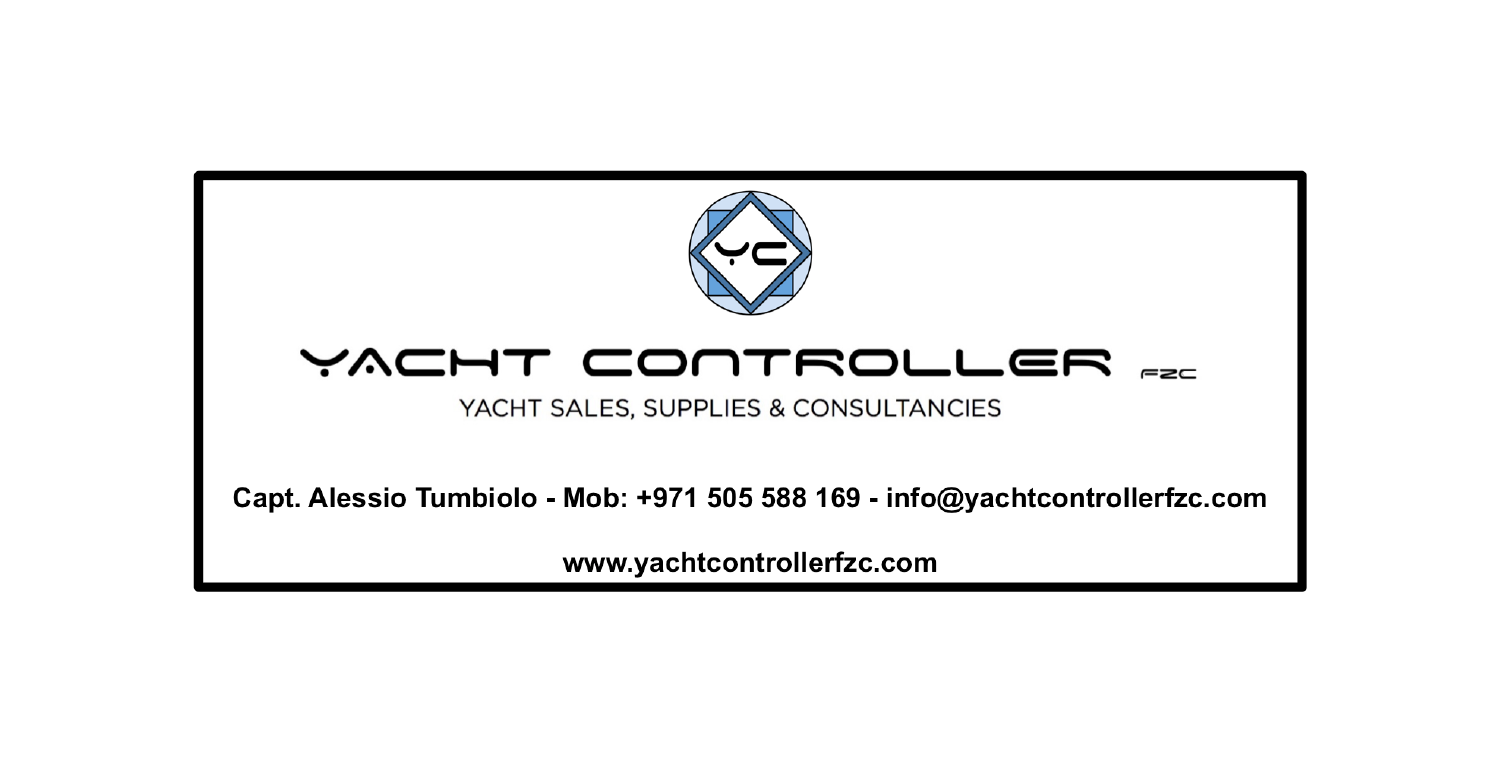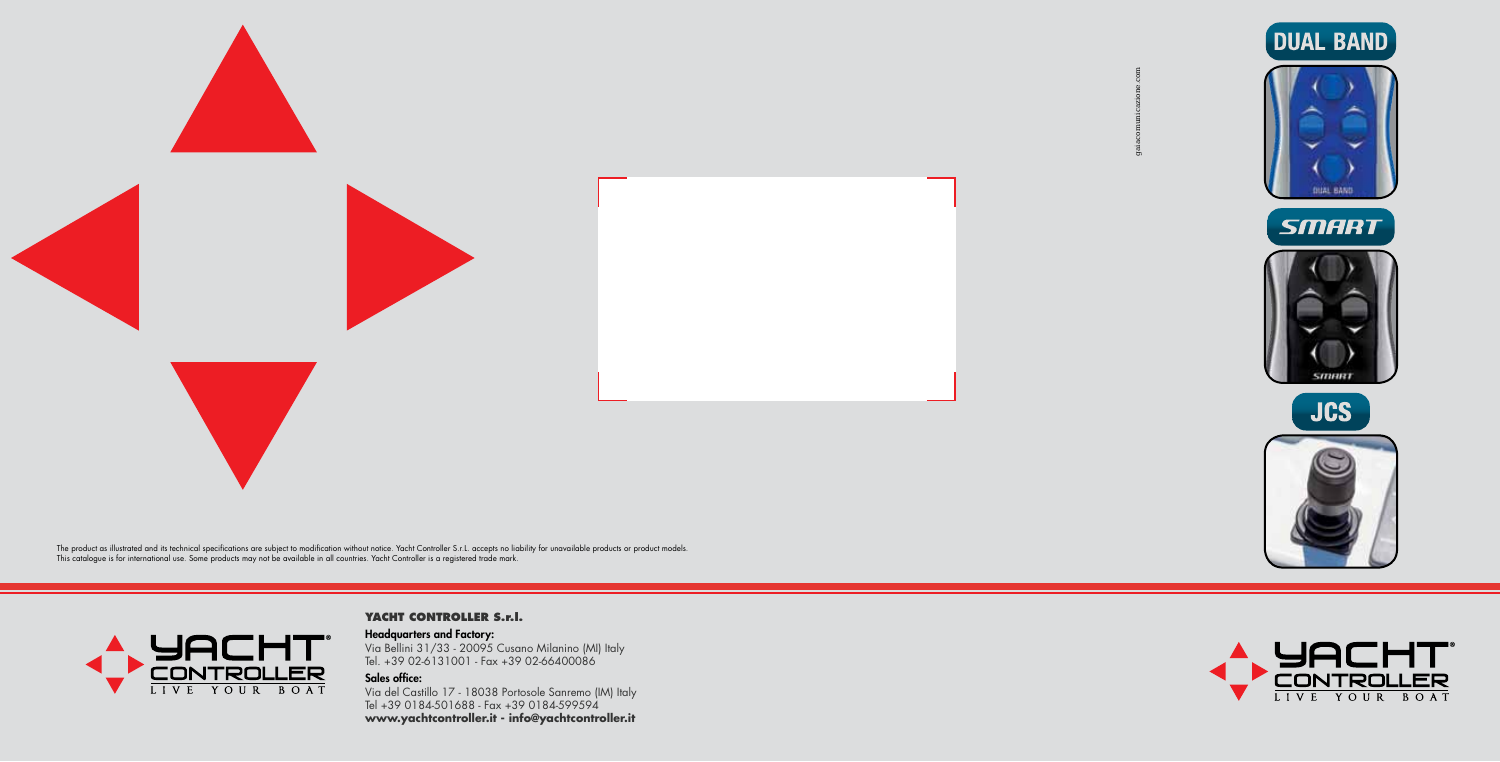

The product as illustrated and its technical specifications are subject to modification without notice. Yacht Controller S.r.L. accepts no liability for unavailable products or product models.<br>This catalogue is for interna

# **CONTROLLER**

**YACHT CONTROLLER S.r.l.** 

Headquarters and Factory: Via Bellini 31/33 - 20095 Cusano Milanino (MI) Italy Tel. +39 02-6131001 - Fax +39 02-66400086

### Sales office:

Via del Castillo 17 - 18038 Portosole Sanremo (IM) Italy Tel +39 0184-501688 - Fax +39 0184-599594 **www.yachtcontroller.it - info@yachtcontroller.it**

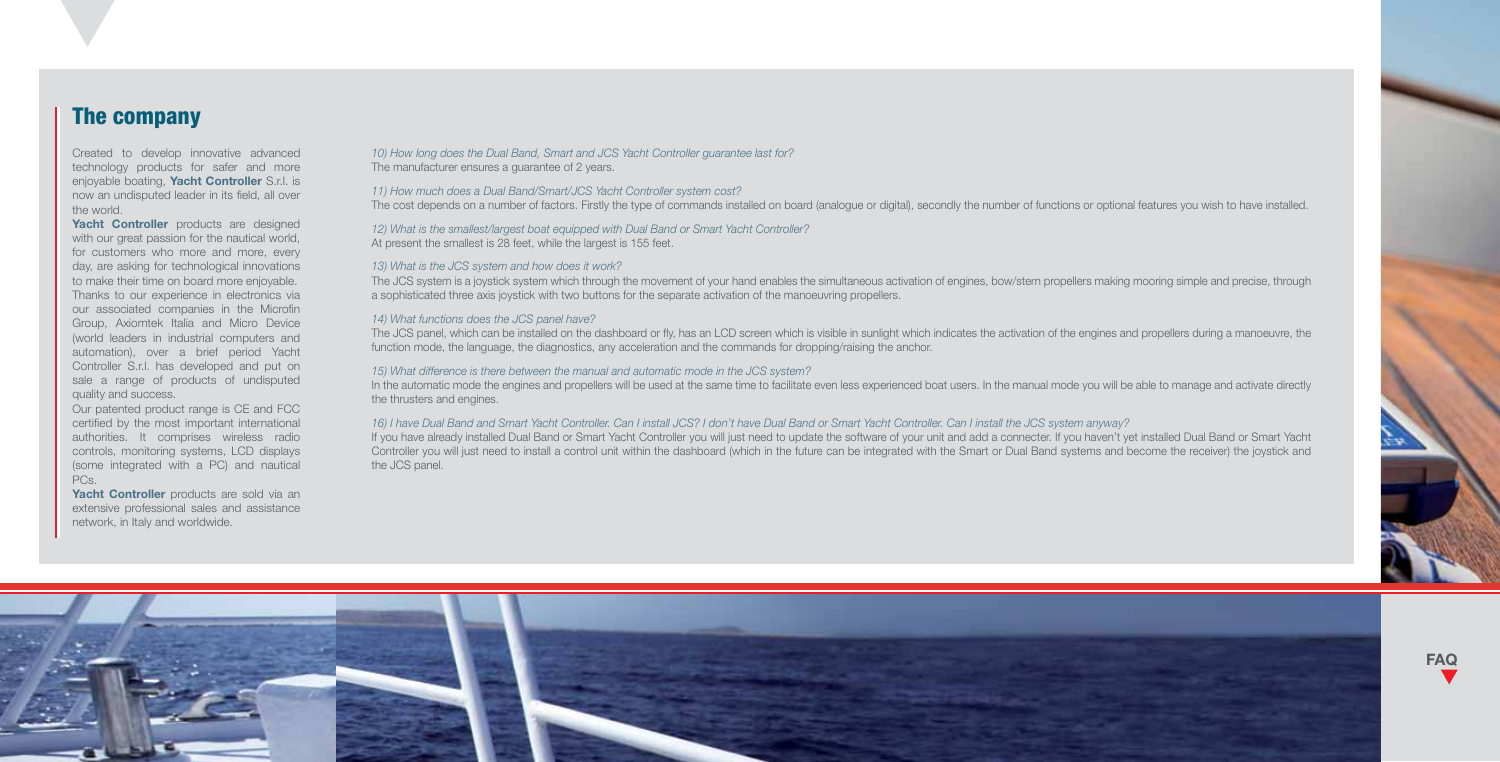## The company

Created to develop innovative advanced technology products for safer and more enjoyable boating, Yacht Controller S.r.l. is now an undisputed leader in its field, all over the world.

Yacht Controller products are designed with our great passion for the nautical world, for customers who more and more, every day, are asking for technological innovations to make their time on board more enjoyable. Thanks to our experience in electronics via our associated companies in the Microfin Group, Axiomtek Italia and Micro Device (world leaders in industrial computers and automation), over a brief period Yacht Controller S.r.l. has developed and put on sale a range of products of undisputed quality and success.

Our patented product range is CE and FCC certified by the most important international authorities. It comprises wireless radio controls, monitoring systems, LCD displays (some integrated with a PC) and nautical PCs.

Yacht Controller products are sold via an extensive professional sales and assistance network, in Italy and worldwide.

*10) How long does the Dual Band, Smart and JCS Yacht Controller guarantee last for?* The manufacturer ensures a guarantee of 2 years.

#### *11) How much does a Dual Band/Smart/JCS Yacht Controller system cost?*

The cost depends on a number of factors. Firstly the type of commands installed on board (analogue or digital), secondly the number of functions or optional features you wish to have installed.

*12) What is the smallest/largest boat equipped with Dual Band or Smart Yacht Controller?* At present the smallest is 28 feet, while the largest is 155 feet.

#### *13) What is the JCS system and how does it work?*

The JCS system is a joystick system which through the movement of your hand enables the simultaneous activation of engines, bow/stern propellers making mooring simple and precise, through a sophisticated three axis joystick with two buttons for the separate activation of the manoeuvring propellers.

#### *14) What functions does the JCS panel have?*

The JCS panel, which can be installed on the dashboard or fly, has an LCD screen which is visible in sunlight which indicates the activation of the engines and propellers during a manoeuvre, the function mode, the language, the diagnostics, any acceleration and the commands for dropping/raising the anchor.

#### *15) What difference is there between the manual and automatic mode in the JCS system?*

In the automatic mode the engines and propellers will be used at the same time to facilitate even less experienced boat users. In the manual mode you will be able to manage and activate directly the thrusters and engines.

#### *16) I have Dual Band and Smart Yacht Controller. Can I install JCS? I don't have Dual Band or Smart Yacht Controller. Can I install the JCS system anyway?*

If you have already installed Dual Band or Smart Yacht Controller you will just need to update the software of your unit and add a connecter. If you haven't yet installed Dual Band or Smart Yacht Controller you will just need to install a control unit within the dashboard (which in the future can be integrated with the Smart or Dual Band systems and become the receiver) the joystick and the JCS panel.

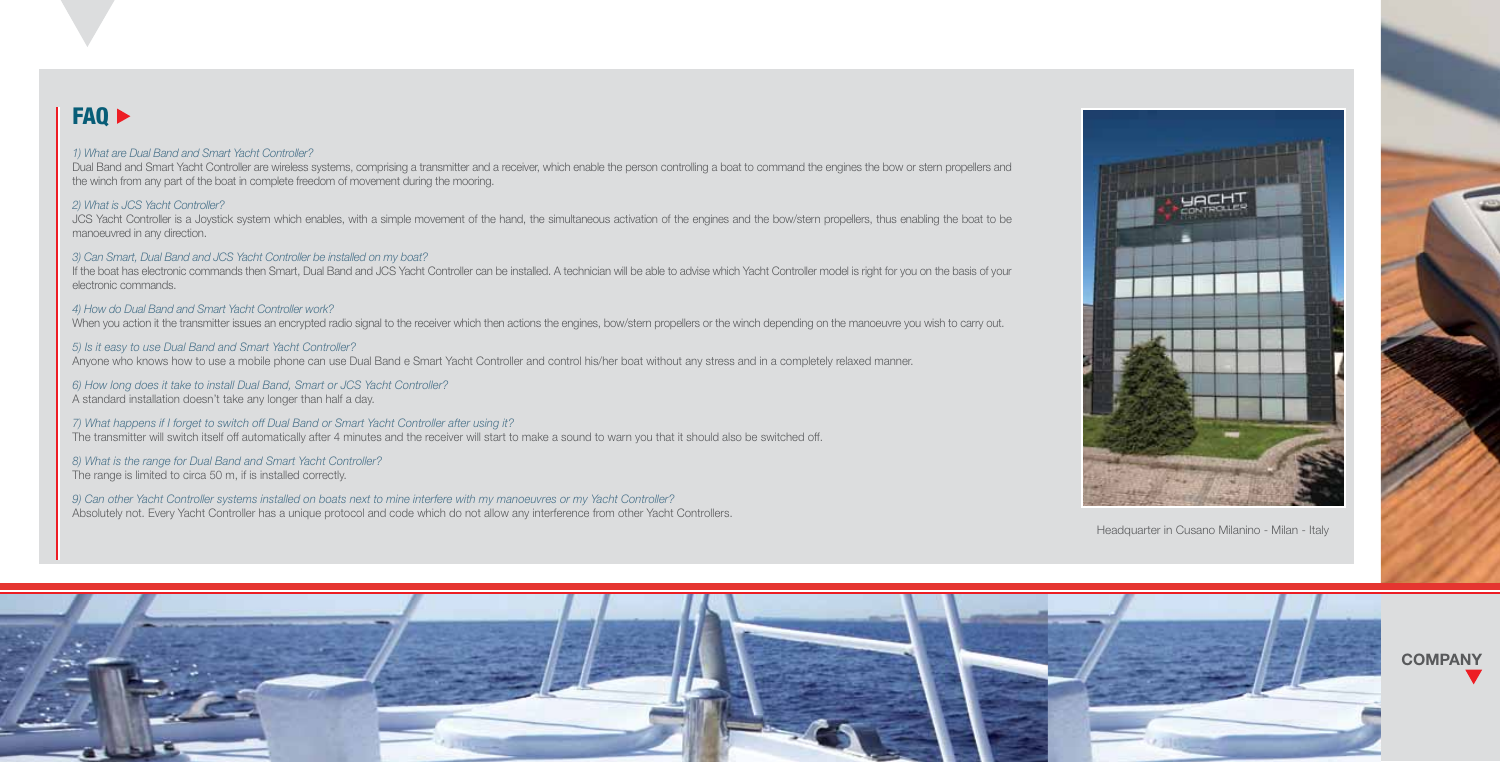## FAQ  $\blacktriangleright$

#### *1) What are Dual Band and Smart Yacht Controller?*

Dual Band and Smart Yacht Controller are wireless systems, comprising a transmitter and a receiver, which enable the person controlling a boat to command the engines the bow or stern propellers and the winch from any part of the boat in complete freedom of movement during the mooring.

#### *2) What is JCS Yacht Controller?*

JCS Yacht Controller is a Joystick system which enables, with a simple movement of the hand, the simultaneous activation of the engines and the bow/stern propellers, thus enabling the boat to be manoeuvred in any direction.

#### *3) Can Smart, Dual Band and JCS Yacht Controller be installed on my boat?*

If the boat has electronic commands then Smart, Dual Band and JCS Yacht Controller can be installed. A technician will be able to advise which Yacht Controller model is right for you on the basis of your electronic commands.

#### *4) How do Dual Band and Smart Yacht Controller work?*

When you action it the transmitter issues an encrypted radio signal to the receiver which then actions the engines, bow/stern propellers or the winch depending on the manoeuvre you wish to carry out.

#### *5) Is it easy to use Dual Band and Smart Yacht Controller?*

Anyone who knows how to use a mobile phone can use Dual Band e Smart Yacht Controller and control his/her boat without any stress and in a completely relaxed manner.

#### *6) How long does it take to install Dual Band, Smart or JCS Yacht Controller?* A standard installation doesn't take any longer than half a day.

*7) What happens if I forget to switch off Dual Band or Smart Yacht Controller after using it?* The transmitter will switch itself off automatically after 4 minutes and the receiver will start to make a sound to warn you that it should also be switched off.

#### *8) What is the range for Dual Band and Smart Yacht Controller?* The range is limited to circa 50 m, if is installed correctly.

*9) Can other Yacht Controller systems installed on boats next to mine interfere with my manoeuvres or my Yacht Controller?* Absolutely not. Every Yacht Controller has a unique protocol and code which do not allow any interference from other Yacht Controllers.



Headquarter in Cusano Milanino - Milan - Italy



**COMPANY**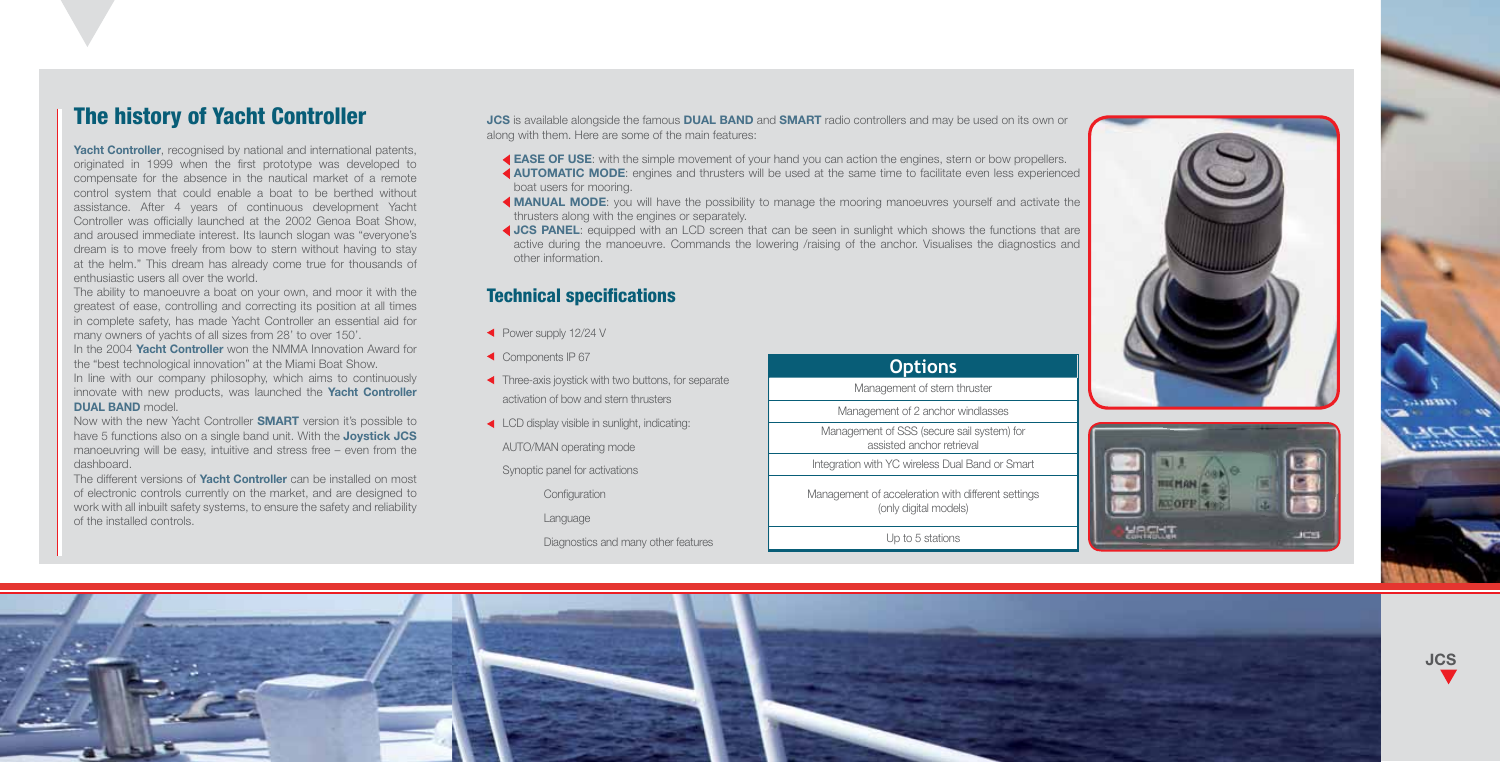## The history of Yacht Controller

Yacht Controller, recognised by national and international patents, originated in 1999 when the first prototype was developed to compensate for the absence in the nautical market of a remote control system that could enable a boat to be berthed without assistance. After 4 years of continuous development Yacht Controller was officially launched at the 2002 Genoa Boat Show, and aroused immediate interest. Its launch slogan was "everyone's dream is to move freely from bow to stern without having to stay at the helm." This dream has already come true for thousands of enthusiastic users all over the world.

The ability to manoeuvre a boat on your own, and moor it with the greatest of ease, controlling and correcting its position at all times in complete safety, has made Yacht Controller an essential aid for many owners of yachts of all sizes from 28' to over 150'.

In the 2004 Yacht Controller won the NMMA Innovation Award for the "best technological innovation" at the Miami Boat Show. In line with our company philosophy, which aims to continuously innovate with new products, was launched the **Yacht Controller** DUAL BAND model

Now with the new Yacht Controller **SMART** version it's possible to have 5 functions also on a single band unit. With the **Joystick JCS** manoeuvring will be easy, intuitive and stress free – even from the dashboard.

The different versions of **Yacht Controller** can be installed on most of electronic controls currently on the market, and are designed to work with all inbuilt safety systems, to ensure the safety and reliability of the installed controls.

JCS is available alongside the famous DUAL BAND and SMART radio controllers and may be used on its own or along with them. Here are some of the main features:

- EASE OF USE: with the simple movement of your hand you can action the engines, stern or bow propellers. AUTOMATIC MODE: engines and thrusters will be used at the same time to facilitate even less experienced
- boat users for mooring.
- MANUAL MODE: you will have the possibility to manage the mooring manoeuvres yourself and activate the thrusters along with the engines or separately.
- JCS PANEL: equipped with an LCD screen that can be seen in sunlight which shows the functions that are active during the manoeuvre. Commands the lowering /raising of the anchor. Visualises the diagnostics and other information.

## Technical specifications

- Power supply 12/24 V
- Components IP 67
- Three-axis joystick with two buttons, for separate activation of bow and stern thrusters
- ◆ LCD display visible in sunlight, indicating:
	- AUTO/MAN operating mode

Synoptic panel for activations

**Configuration** 

Language

Diagnostics and many other features

| <b>Options</b>                                                              |
|-----------------------------------------------------------------------------|
| Management of stern thruster                                                |
| Management of 2 anchor windlasses                                           |
| Management of SSS (secure sail system) for<br>assisted anchor retrieval     |
| Integration with YC wireless Dual Band or Smart                             |
| Management of acceleration with different settings<br>(only digital models) |

Up to 5 stations





JCS

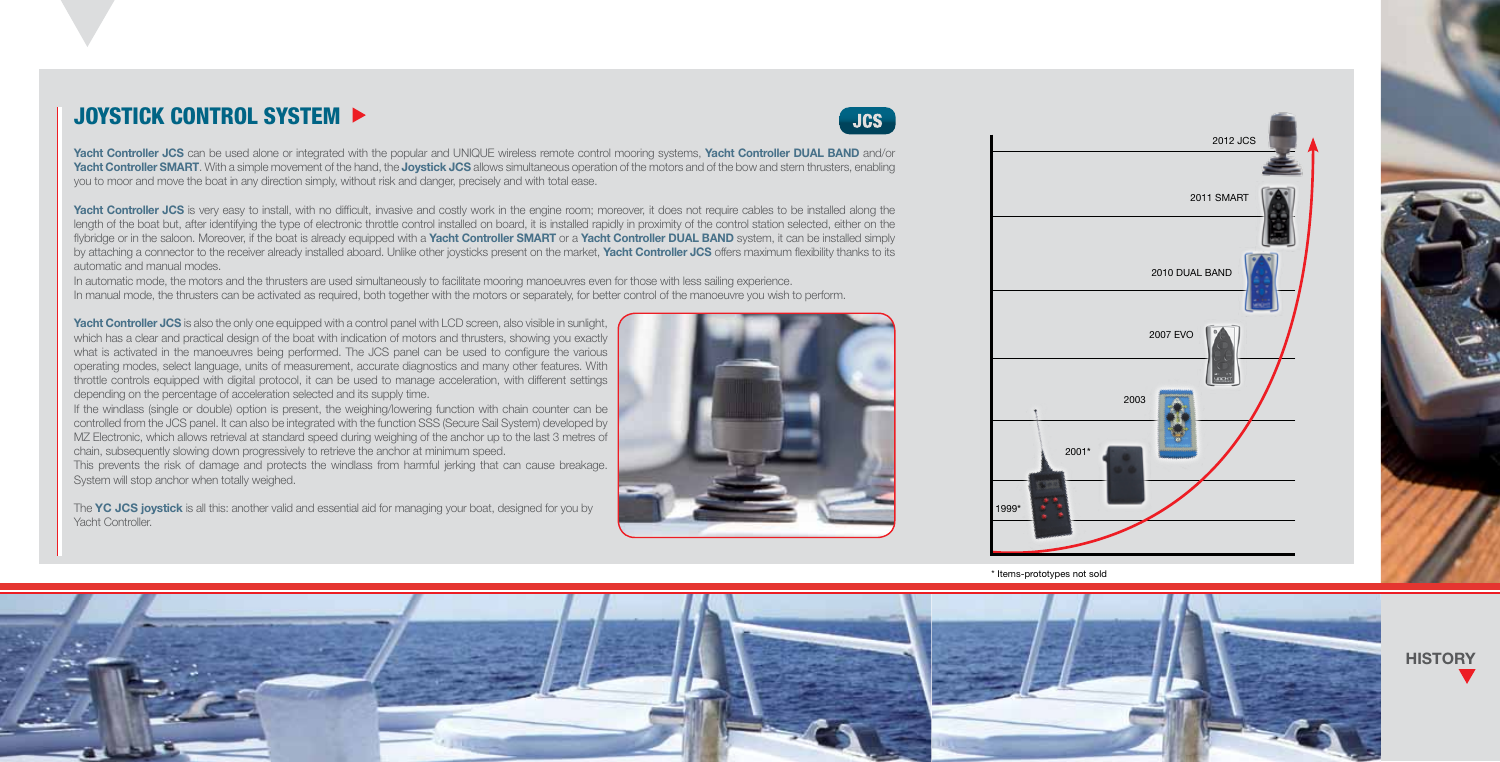## JOYSTICK CONTROL SYSTEM  $\blacktriangleright$

Yacht Controller JCS can be used alone or integrated with the popular and UNIQUE wireless remote control mooring systems, Yacht Controller DUAL BAND and/or Yacht Controller SMART. With a simple movement of the hand, the Joystick JCS allows simultaneous operation of the motors and of the bow and stern thrusters, enabling you to moor and move the boat in any direction simply, without risk and danger, precisely and with total ease.

Yacht Controller JCS is very easy to install, with no difficult, invasive and costly work in the engine room; moreover, it does not require cables to be installed along the length of the boat but, after identifying the type of electronic throttle control installed on board, it is installed rapidly in proximity of the control station selected, either on the flybridge or in the saloon. Moreover, if the boat is already equipped with a Yacht Controller SMART or a Yacht Controller DUAL BAND system, it can be installed simply by attaching a connector to the receiver already installed aboard. Unlike other joysticks present on the market, Yacht Controller JCS offers maximum flexibility thanks to its automatic and manual modes.

In automatic mode, the motors and the thrusters are used simultaneously to facilitate mooring manoeuvres even for those with less sailing experience. In manual mode, the thrusters can be activated as required, both together with the motors or separately, for better control of the manoeuvre you wish to perform.

Yacht Controller JCS is also the only one equipped with a control panel with LCD screen, also visible in sunlight, which has a clear and practical design of the boat with indication of motors and thrusters, showing you exactly what is activated in the manoeuvres being performed. The JCS panel can be used to configure the various operating modes, select language, units of measurement, accurate diagnostics and many other features. With throttle controls equipped with digital protocol, it can be used to manage acceleration, with different settings depending on the percentage of acceleration selected and its supply time.

If the windlass (single or double) option is present, the weighing/lowering function with chain counter can be controlled from the JCS panel. It can also be integrated with the function SSS (Secure Sail System) developed by MZ Electronic, which allows retrieval at standard speed during weighing of the anchor up to the last 3 metres of chain, subsequently slowing down progressively to retrieve the anchor at minimum speed.

This prevents the risk of damage and protects the windlass from harmful jerking that can cause breakage. System will stop anchor when totally weighed.

The YC JCS joystick is all this: another valid and essential aid for managing your boat, designed for you by Yacht Controller.



**JCS** 



\* Items-prototypes not sold



**HISTORY**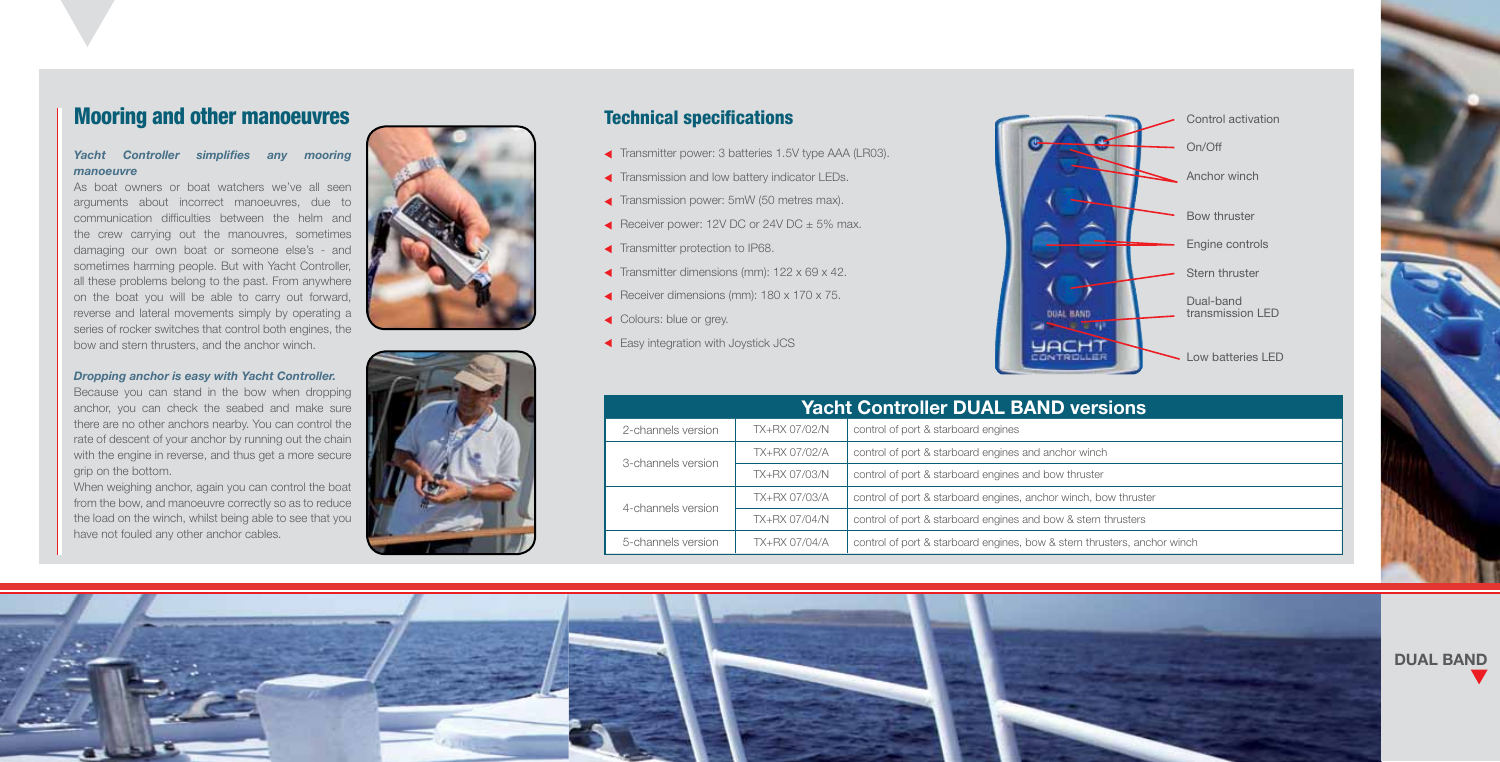## Mooring and other manoeuvres

#### *Yacht Controller simplifies any mooring manoeuvre*

As boat owners or boat watchers we've all seen arguments about incorrect manoeuvres, due to communication difficulties between the helm and the crew carrying out the manouvres, sometimes damaging our own boat or someone else's - and sometimes harming people. But with Yacht Controller, all these problems belong to the past. From anywhere on the boat you will be able to carry out forward, reverse and lateral movements simply by operating a series of rocker switches that control both engines, the bow and stern thrusters, and the anchor winch.

#### *Dropping anchor is easy with Yacht Controller.*

Because you can stand in the bow when dropping anchor, you can check the seabed and make sure there are no other anchors nearby. You can control the rate of descent of your anchor by running out the chain with the engine in reverse, and thus get a more secure grip on the bottom.

When weighing anchor, again you can control the boat from the bow, and manoeuvre correctly so as to reduce the load on the winch, whilst being able to see that you have not fouled any other anchor cables.



## Technical specifications

- Transmitter power: 3 batteries 1.5V type AAA (LR03).
- **Transmission and low battery indicator LEDs.**
- Transmission power: 5mW (50 metres max).
- Receiver power: 12V DC or 24V DC  $\pm$  5% max.
- **Transmitter protection to IP68.**
- Transmitter dimensions (mm):  $122 \times 69 \times 42$ .
- Receiver dimensions (mm):  $180 \times 170 \times 75$ .
- ◆ Colours: blue or grey.
- **Easy integration with Joystick JCS**



| <b>Yacht Controller DUAL BAND versions</b> |               |                                                                          |  |  |
|--------------------------------------------|---------------|--------------------------------------------------------------------------|--|--|
| 2-channels version                         | TX+RX 07/02/N | control of port & starboard engines                                      |  |  |
| 3-channels version                         | TX+RX 07/02/A | control of port & starboard engines and anchor winch                     |  |  |
|                                            | TX+RX 07/03/N | control of port & starboard engines and bow thruster                     |  |  |
| 4-channels version                         | TX+RX 07/03/A | control of port & starboard engines, anchor winch, bow thruster          |  |  |
|                                            | TX+RX 07/04/N | control of port & starboard engines and bow & stern thrusters            |  |  |
| 5-channels version                         | TX+RX 07/04/A | control of port & starboard engines, bow & stern thrusters, anchor winch |  |  |

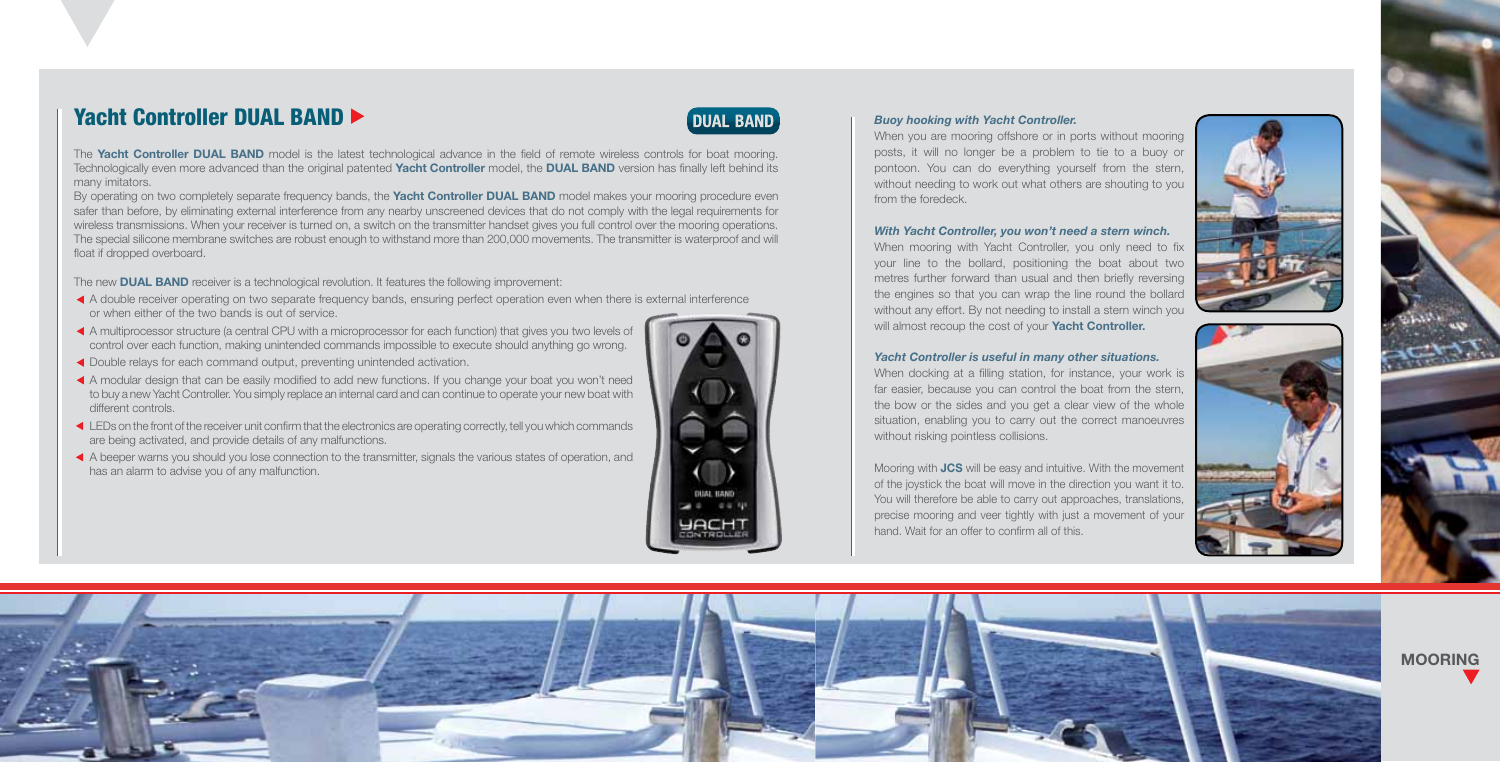## Yacht Controller DUAL BAND



The Yacht Controller DUAL BAND model is the latest technological advance in the field of remote wireless controls for boat mooring. Technologically even more advanced than the original patented Yacht Controller model, the DUAL BAND version has finally left behind its many imitators.

By operating on two completely separate frequency bands, the **Yacht Controller DUAL BAND** model makes your mooring procedure even safer than before, by eliminating external interference from any nearby unscreened devices that do not comply with the legal requirements for wireless transmissions. When your receiver is turned on, a switch on the transmitter handset gives you full control over the mooring operations. The special silicone membrane switches are robust enough to withstand more than 200,000 movements. The transmitter is waterproof and will float if dropped overboard.

The new **DUAL BAND** receiver is a technological revolution. It features the following improvement:

- A double receiver operating on two separate frequency bands, ensuring perfect operation even when there is external interference or when either of the two bands is out of service.
- A multiprocessor structure (a central CPU with a microprocessor for each function) that gives you two levels of control over each function, making unintended commands impossible to execute should anything go wrong.
- Double relays for each command output, preventing unintended activation.
- A modular design that can be easily modified to add new functions. If you change your boat you won't need to buy a new Yacht Controller. You simply replace an internal card and can continue to operate your new boat with different controls.
- LEDs on the front of the receiver unit confirm that the electronics are operating correctly, tell you which commands are being activated, and provide details of any malfunctions.
- A beeper warns you should you lose connection to the transmitter, signals the various states of operation, and has an alarm to advise you of any malfunction.



When you are mooring offshore or in ports without mooring posts, it will no longer be a problem to tie to a buoy or pontoon. You can do everything yourself from the stern, without needing to work out what others are shouting to you from the foredeck.

#### *With Yacht Controller, you won't need a stern winch.*

When mooring with Yacht Controller, you only need to fix your line to the bollard, positioning the boat about two metres further forward than usual and then briefly reversing the engines so that you can wrap the line round the bollard without any effort. By not needing to install a stern winch you will almost recoup the cost of your Yacht Controller.





#### *Yacht Controller is useful in many other situations.*

When docking at a filling station, for instance, your work is far easier, because you can control the boat from the stern, the bow or the sides and you get a clear view of the whole situation, enabling you to carry out the correct manoeuvres without risking pointless collisions.

Mooring with JCS will be easy and intuitive. With the movement of the joystick the boat will move in the direction you want it to. You will therefore be able to carry out approaches, translations, precise mooring and veer tightly with just a movement of your hand. Wait for an offer to confirm all of this.



MOORING